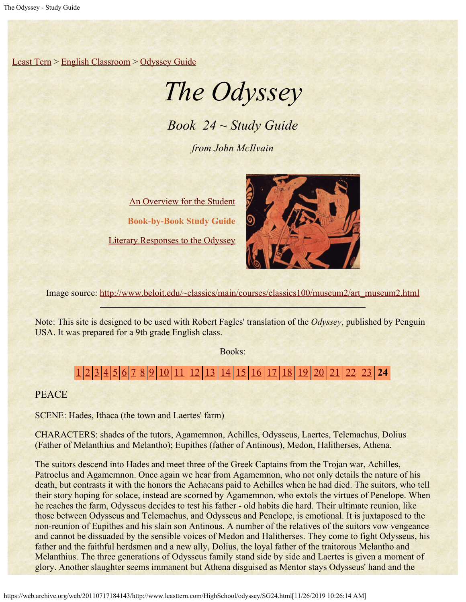[Least Tern](https://web.archive.org/web/20110717184143/http://www.leasttern.com/index.html) > [English Classroom](https://web.archive.org/web/20110717184143/http://www.leasttern.com/Engclass.html) > [Odyssey Guide](https://web.archive.org/web/20110717184143/http://www.leasttern.com/HighSchool/odyssey/Odyssey.html)

# *The Odyssey*

*Book 24 ~ Study Guide*

*from John McIlvain*

[An Overview for the Student](https://web.archive.org/web/20110717184143/http://www.leasttern.com/HighSchool/odyssey/Odyssey1.html) **Book-by-Book Study Guide** [Literary Responses to the Odyssey](https://web.archive.org/web/20110717184143/http://www.leasttern.com/HighSchool/odyssey/Odysseyresponses.html)



Image source: [http://www.beloit.edu/~classics/main/courses/classics100/museum2/art\\_museum2.html](https://web.archive.org/web/20110717184143/http://www.beloit.edu/%7Eclassics/main/courses/classics100/museum2/art_museum2.html)

Note: This site is designed to be used with Robert Fagles' translation of the *Odyssey*, published by Penguin USA. It was prepared for a 9th grade English class.

Books:

# [1](https://web.archive.org/web/20110717184143/http://www.leasttern.com/HighSchool/odyssey/SG1.html) [2](https://web.archive.org/web/20110717184143/http://www.leasttern.com/HighSchool/odyssey/SG2.html) [3](https://web.archive.org/web/20110717184143/http://www.leasttern.com/HighSchool/odyssey/SG3.html) [4](https://web.archive.org/web/20110717184143/http://www.leasttern.com/HighSchool/odyssey/SG4.html) [5](https://web.archive.org/web/20110717184143/http://www.leasttern.com/HighSchool/odyssey/SG5.html) [6](https://web.archive.org/web/20110717184143/http://www.leasttern.com/HighSchool/odyssey/SG6.html) [7](https://web.archive.org/web/20110717184143/http://www.leasttern.com/HighSchool/odyssey/SG7.html) [8](https://web.archive.org/web/20110717184143/http://www.leasttern.com/HighSchool/odyssey/SG8.html) [9](https://web.archive.org/web/20110717184143/http://www.leasttern.com/HighSchool/odyssey/SG9.html) [10](https://web.archive.org/web/20110717184143/http://www.leasttern.com/HighSchool/odyssey/SG10.html) [11](https://web.archive.org/web/20110717184143/http://www.leasttern.com/HighSchool/odyssey/SG11.html) [12](https://web.archive.org/web/20110717184143/http://www.leasttern.com/HighSchool/odyssey/SG12.html) [13](https://web.archive.org/web/20110717184143/http://www.leasttern.com/HighSchool/odyssey/SG13.html) [14](https://web.archive.org/web/20110717184143/http://www.leasttern.com/HighSchool/odyssey/SG14.html) [15](https://web.archive.org/web/20110717184143/http://www.leasttern.com/HighSchool/odyssey/SG15.html) [16](https://web.archive.org/web/20110717184143/http://www.leasttern.com/HighSchool/odyssey/SG16.html) [17](https://web.archive.org/web/20110717184143/http://www.leasttern.com/HighSchool/odyssey/SG17.html) [18](https://web.archive.org/web/20110717184143/http://www.leasttern.com/HighSchool/odyssey/SG18.html) [19](https://web.archive.org/web/20110717184143/http://www.leasttern.com/HighSchool/odyssey/SG19.html) [20](https://web.archive.org/web/20110717184143/http://www.leasttern.com/HighSchool/odyssey/SG20.html) [21](https://web.archive.org/web/20110717184143/http://www.leasttern.com/HighSchool/odyssey/SG21.html) [22](https://web.archive.org/web/20110717184143/http://www.leasttern.com/HighSchool/odyssey/SG22.html) [23](https://web.archive.org/web/20110717184143/http://www.leasttern.com/HighSchool/odyssey/SG23.html) **24**

**PEACE** 

SCENE: Hades, Ithaca (the town and Laertes' farm)

CHARACTERS: shades of the tutors, Agamemnon, Achilles, Odysseus, Laertes, Telemachus, Dolius (Father of Melanthius and Melantho); Eupithes (father of Antinous), Medon, Halitherses, Athena.

The suitors descend into Hades and meet three of the Greek Captains from the Trojan war, Achilles, Patroclus and Agamemnon. Once again we hear from Agamemnon, who not only details the nature of his death, but contrasts it with the honors the Achaeans paid to Achilles when he had died. The suitors, who tell their story hoping for solace, instead are scorned by Agamemnon, who extols the virtues of Penelope. When he reaches the farm, Odysseus decides to test his father - old habits die hard. Their ultimate reunion, like those between Odysseus and Telemachus, and Odysseus and Penelope, is emotional. It is juxtaposed to the non-reunion of Eupithes and his slain son Antinous. A number of the relatives of the suitors vow vengeance and cannot be dissuaded by the sensible voices of Medon and Halitherses. They come to fight Odysseus, his father and the faithful herdsmen and a new ally, Dolius, the loyal father of the traitorous Melantho and Melanthius. The three generations of Odysseus family stand side by side and Laertes is given a moment of glory. Another slaughter seems immanent but Athena disguised as Mentor stays Odysseus' hand and the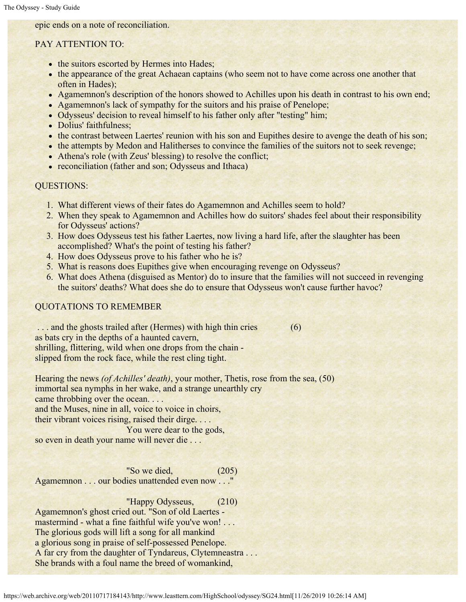epic ends on a note of reconciliation.

### PAY ATTENTION TO:

- the suitors escorted by Hermes into Hades;
- the appearance of the great Achaean captains (who seem not to have come across one another that often in Hades);
- Agamemnon's description of the honors showed to Achilles upon his death in contrast to his own end;
- Agamemnon's lack of sympathy for the suitors and his praise of Penelope;
- Odysseus' decision to reveal himself to his father only after "testing" him;
- Dolius' faithfulness;
- the contrast between Laertes' reunion with his son and Eupithes desire to avenge the death of his son;
- the attempts by Medon and Halitherses to convince the families of the suitors not to seek revenge;
- Athena's role (with Zeus' blessing) to resolve the conflict;
- reconciliation (father and son; Odysseus and Ithaca)

#### QUESTIONS:

- 1. What different views of their fates do Agamemnon and Achilles seem to hold?
- 2. When they speak to Agamemnon and Achilles how do suitors' shades feel about their responsibility for Odysseus' actions?
- 3. How does Odysseus test his father Laertes, now living a hard life, after the slaughter has been accomplished? What's the point of testing his father?
- 4. How does Odysseus prove to his father who he is?
- 5. What is reasons does Eupithes give when encouraging revenge on Odysseus?
- 6. What does Athena (disguised as Mentor) do to insure that the families will not succeed in revenging the suitors' deaths? What does she do to ensure that Odysseus won't cause further havoc?

# QUOTATIONS TO REMEMBER

... and the ghosts trailed after (Hermes) with high thin cries (6) as bats cry in the depths of a haunted cavern, shrilling, flittering, wild when one drops from the chain slipped from the rock face, while the rest cling tight.

Hearing the news *(of Achilles' death)*, your mother, Thetis, rose from the sea, (50) immortal sea nymphs in her wake, and a strange unearthly cry came throbbing over the ocean....

and the Muses, nine in all, voice to voice in choirs,

their vibrant voices rising, raised their dirge. . . .

You were dear to the gods,

so even in death your name will never die . . .

 "So we died, (205) Agamemnon . . . our bodies unattended even now . . ."

 "Happy Odysseus, (210) Agamemnon's ghost cried out. "Son of old Laertes mastermind - what a fine faithful wife you've won!... The glorious gods will lift a song for all mankind a glorious song in praise of self-possessed Penelope. A far cry from the daughter of Tyndareus, Clytemneastra . . . She brands with a foul name the breed of womankind,